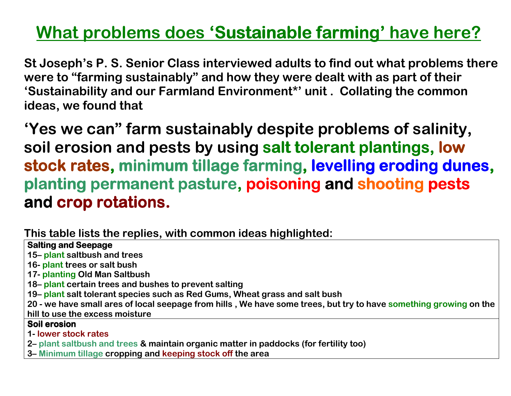# <u>What problems does 'Sustainable farming' have here?</u>

St Joseph's P. S. Senior Class interviewed adults to find out what problems there were to "farming sustainably" and how they were dealt with as part of their 'Sustainability and our Farmland Environment\*' unit . Collating the common ideas, we found that

'Yes we can" farm sustainably despite problems of salinity, soil erosion and pests by using salt tolerant plantings, low stock rates, minimum tillage farming, levelling eroding dunes,planting permanent pasture, **poisoning and shooting pests** and crop rotations.

This table lists the replies, with common ideas highlighted:

## **Salting and Seepage**

15– plant saltbush and trees

16- plant trees or salt bush

17- planting Old Man Saltbush

- 18– plant certain trees and bushes to prevent salting
- 19– plant salt tolerant species such as Red Gums, Wheat grass and salt bush

20 - we have small ares of local seepage from hills , We have some trees, but try to have something growing on the hill to use the excess moisture

# Soil erosion<br>1

- 1- lower stock rates
- 2– plant saltbush and trees & maintain organic matter in paddocks (for fertility too)
- 3– Minimum tillage cropping and keeping stock off the area